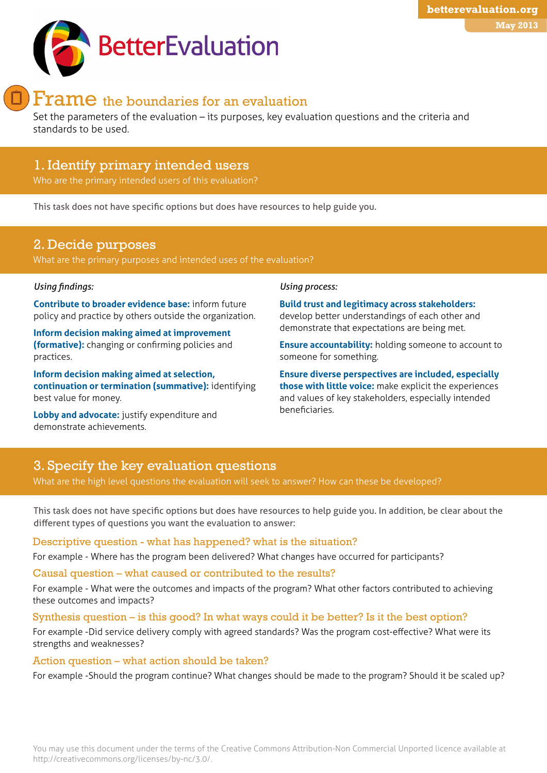# Frame the boundaries for an evaluation

Set the parameters of the evaluation – its purposes, key evaluation questions and the criteria and standards to be used.

# [1. I](http://betterevaluation.org/plan/define/develop_initial_description)dentify primary intended users

Who are the primary intended users of this evaluation?

This task does not have specific options but does have resources to help guide you.

# 2. Decide purposes

What are the primary purposes and intended uses of the evaluation?

### *Using findings:*

**Contribute to broader evidence base:** inform future policy and practice by others outside the organization.

**Inform decision making aimed at improvement (formative):** changing or confirming policies and practices.

**Inform decision making aimed at selection, continuation or termination (summative):** identifying best value for money.

**Lobby and advocate:** justify expenditure and demonstrate achievements.

#### *Using process:*

**Build trust and legitimacy across stakeholders:**  develop better understandings of each other and demonstrate that expectations are being met.

**Ensure accountability:** holding someone to account to someone for something.

**May 2013**

**betterevaluation.org**

**Ensure diverse perspectives are included, especially those with little voice:** make explicit the experiences and values of key stakeholders, especially intended beneficiaries.

# 3. Specify the key evaluation questions

What are the high level questions the evaluation will seek to answer? How can these be developed?

This task does not have specific options but does have resources to help guide you. In addition, be clear about the different types of questions you want the evaluation to answer:

### Descriptive question - what has happened? what is the situation?

For example - Where has the program been delivered? What changes have occurred for participants?

Causal question – what caused or contributed to the results?

For example - What were the outcomes and impacts of the program? What other factors contributed to achieving these outcomes and impacts?

#### Synthesis question – is this good? In what ways could it be better? Is it the best option?

For example -Did service delivery comply with agreed standards? Was the program cost-effective? What were its strengths and weaknesses?

### Action question – what action should be taken?

For example -Should the program continue? What changes should be made to the program? Should it be scaled up?